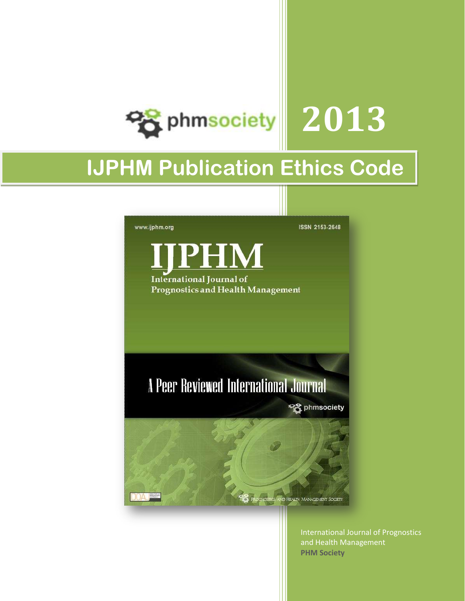

# **IJPHM Publication Ethics Code**



International Journal of Prognostics and Health Management **PHM Society**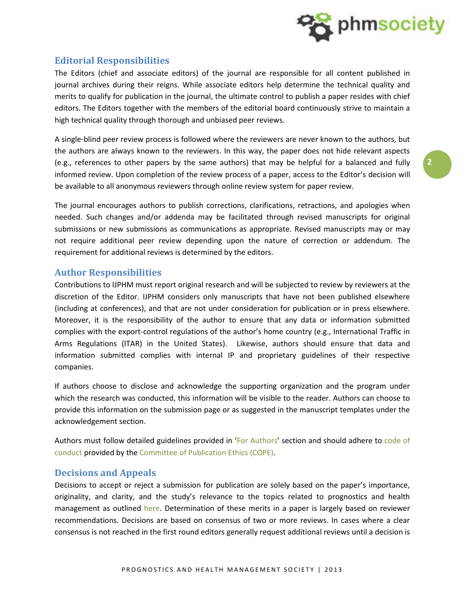

# **Editorial Responsibilities**

The Editors (chief and associate editors) of the journal are responsible for all content published in journal archives during their reigns. While associate editors help determine the technical quality and merits to qualify for publication in the journal, the ultimate control to publish a paper resides with chief editors. The Editors together with the members of the editorial board continuously strive to maintain a high technical quality through thorough and unbiased peer reviews.

A single-blind peer review process is followed where the reviewers are never known to the authors, but the authors are always known to the reviewers. In this way, the paper does not hide relevant aspects (e.g., references to other papers by the same authors) that may be helpful for a balanced and fully informed review. Upon completion of the review process of a paper, access to the Editor's decision will be available to all anonymous reviewers through online review system for paper review.

The journal encourages authors to publish corrections, clarifications, retractions, and apologies when needed. Such changes and/or addenda may be facilitated through revised manuscripts for original submissions or new submissions as communications as appropriate. Revised manuscripts may or may not require additional peer review depending upon the nature of correction or addendum. The requirement for additional reviews is determined by the editors.

## **Author Responsibilities**

Contributions to IJPHM must report original research and will be subjected to review by reviewers at the discretion of the Editor. IJPHM considers only manuscripts that have not been published elsewhere (including at conferences), and that are not under consideration for publication or in press elsewhere. Moreover, it is the responsibility of the author to ensure that any data or information submitted complies with the export-control regulations of the author's home country (e.g., International Traffic in Arms Regulations (ITAR) in the United States). Likewise, authors should ensure that data and information submitted complies with internal IP and proprietary guidelines of their respective companies.

If authors choose to disclose and acknowledge the supporting organization and the program under which the research was conducted, this information will be visible to the reader. Authors can choose to provide this information on the submission page or as suggested in the manuscript templates under the acknowledgement section.

Authors must follow detailed guidelines provided in 'For Authors' section and should adhere to code of conduct provided by the Committee of Publication Ethics (COPE).

## **Decisions and Appeals**

Decisions to accept or reject a submission for publication are solely based on the paper's importance, originality, and clarity, and the study's relevance to the topics related to prognostics and health management as outlined here. Determination of these merits in a paper is largely based on reviewer recommendations. Decisions are based on consensus of two or more reviews. In cases where a clear consensus is not reached in the first round editors generally request additional reviews until a decision is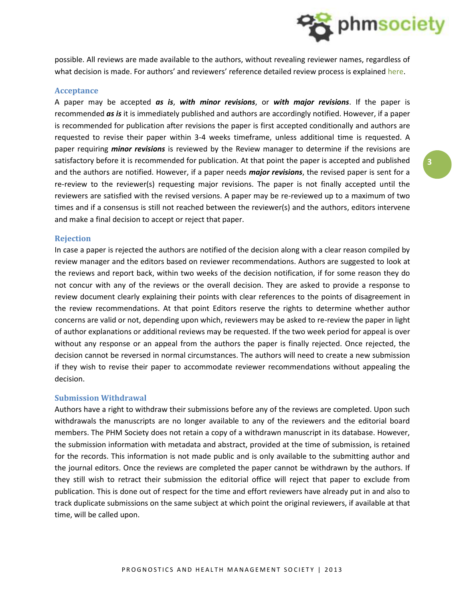

possible. All reviews are made available to the authors, without revealing reviewer names, regardless of what decision is made. For authors' and reviewers' reference detailed review process is explained here.

#### **Acceptance**

A paper may be accepted *as is*, *with minor revisions*, or *with major revisions*. If the paper is recommended *as is* it is immediately published and authors are accordingly notified. However, if a paper is recommended for publication after revisions the paper is first accepted conditionally and authors are requested to revise their paper within 3-4 weeks timeframe, unless additional time is requested. A paper requiring *minor revisions* is reviewed by the Review manager to determine if the revisions are satisfactory before it is recommended for publication. At that point the paper is accepted and published and the authors are notified. However, if a paper needs *major revisions*, the revised paper is sent for a re-review to the reviewer(s) requesting major revisions. The paper is not finally accepted until the reviewers are satisfied with the revised versions. A paper may be re-reviewed up to a maximum of two times and if a consensus is still not reached between the reviewer(s) and the authors, editors intervene and make a final decision to accept or reject that paper.

#### **Rejection**

In case a paper is rejected the authors are notified of the decision along with a clear reason compiled by review manager and the editors based on reviewer recommendations. Authors are suggested to look at the reviews and report back, within two weeks of the decision notification, if for some reason they do not concur with any of the reviews or the overall decision. They are asked to provide a response to review document clearly explaining their points with clear references to the points of disagreement in the review recommendations. At that point Editors reserve the rights to determine whether author concerns are valid or not, depending upon which, reviewers may be asked to re-review the paper in light of author explanations or additional reviews may be requested. If the two week period for appeal is over without any response or an appeal from the authors the paper is finally rejected. Once rejected, the decision cannot be reversed in normal circumstances. The authors will need to create a new submission if they wish to revise their paper to accommodate reviewer recommendations without appealing the decision.

#### **Submission Withdrawal**

Authors have a right to withdraw their submissions before any of the reviews are completed. Upon such withdrawals the manuscripts are no longer available to any of the reviewers and the editorial board members. The PHM Society does not retain a copy of a withdrawn manuscript in its database. However, the submission information with metadata and abstract, provided at the time of submission, is retained for the records. This information is not made public and is only available to the submitting author and the journal editors. Once the reviews are completed the paper cannot be withdrawn by the authors. If they still wish to retract their submission the editorial office will reject that paper to exclude from publication. This is done out of respect for the time and effort reviewers have already put in and also to track duplicate submissions on the same subject at which point the original reviewers, if available at that time, will be called upon.

**3**